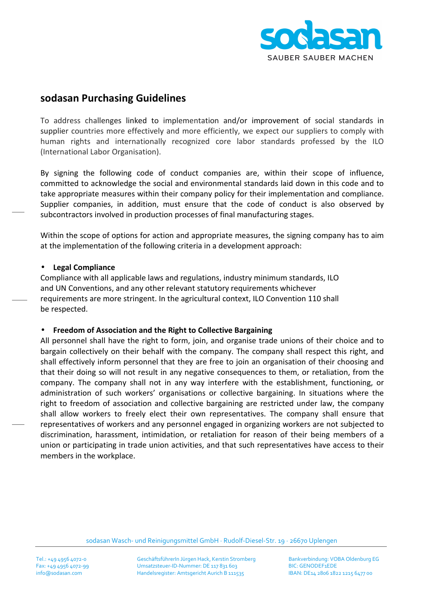

# **sodasan Purchasing Guidelines**

To address challenges linked to implementation and/or improvement of social standards in supplier countries more effectively and more efficiently, we expect our suppliers to comply with human rights and internationally recognized core labor standards professed by the ILO (International Labor Organisation).

By signing the following code of conduct companies are, within their scope of influence, committed to acknowledge the social and environmental standards laid down in this code and to take appropriate measures within their company policy for their implementation and compliance. Supplier companies, in addition, must ensure that the code of conduct is also observed by subcontractors involved in production processes of final manufacturing stages.

Within the scope of options for action and appropriate measures, the signing company has to aim at the implementation of the following criteria in a development approach:

### • **Legal Compliance**

Compliance with all applicable laws and regulations, industry minimum standards, ILO and UN Conventions, and any other relevant statutory requirements whichever requirements are more stringent. In the agricultural context, ILO Convention 110 shall be respected.

### • **Freedom of Association and the Right to Collective Bargaining**

All personnel shall have the right to form, join, and organise trade unions of their choice and to bargain collectively on their behalf with the company. The company shall respect this right, and shall effectively inform personnel that they are free to join an organisation of their choosing and that their doing so will not result in any negative consequences to them, or retaliation, from the company. The company shall not in any way interfere with the establishment, functioning, or administration of such workers' organisations or collective bargaining. In situations where the right to freedom of association and collective bargaining are restricted under law, the company shall allow workers to freely elect their own representatives. The company shall ensure that representatives of workers and any personnel engaged in organizing workers are not subjected to discrimination, harassment, intimidation, or retaliation for reason of their being members of a union or participating in trade union activities, and that such representatives have access to their members in the workplace.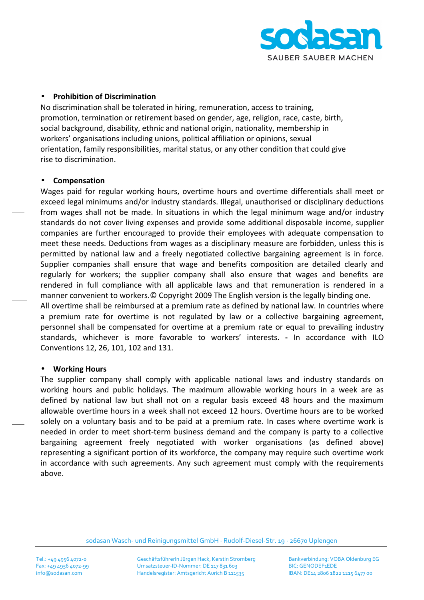

### • **Prohibition of Discrimination**

No discrimination shall be tolerated in hiring, remuneration, access to training, promotion, termination or retirement based on gender, age, religion, race, caste, birth, social background, disability, ethnic and national origin, nationality, membership in workers' organisations including unions, political affiliation or opinions, sexual orientation, family responsibilities, marital status, or any other condition that could give rise to discrimination.

### • **Compensation**

Wages paid for regular working hours, overtime hours and overtime differentials shall meet or exceed legal minimums and/or industry standards. Illegal, unauthorised or disciplinary deductions from wages shall not be made. In situations in which the legal minimum wage and/or industry standards do not cover living expenses and provide some additional disposable income, supplier companies are further encouraged to provide their employees with adequate compensation to meet these needs. Deductions from wages as a disciplinary measure are forbidden, unless this is permitted by national law and a freely negotiated collective bargaining agreement is in force. Supplier companies shall ensure that wage and benefits composition are detailed clearly and regularly for workers; the supplier company shall also ensure that wages and benefits are rendered in full compliance with all applicable laws and that remuneration is rendered in a manner convenient to workers.© Copyright 2009 The English version is the legally binding one.

All overtime shall be reimbursed at a premium rate as defined by national law. In countries where a premium rate for overtime is not regulated by law or a collective bargaining agreement, personnel shall be compensated for overtime at a premium rate or equal to prevailing industry standards, whichever is more favorable to workers' interests. **-** In accordance with ILO Conventions 12, 26, 101, 102 and 131.

### • **Working Hours**

The supplier company shall comply with applicable national laws and industry standards on working hours and public holidays. The maximum allowable working hours in a week are as defined by national law but shall not on a regular basis exceed 48 hours and the maximum allowable overtime hours in a week shall not exceed 12 hours. Overtime hours are to be worked solely on a voluntary basis and to be paid at a premium rate. In cases where overtime work is needed in order to meet short-term business demand and the company is party to a collective bargaining agreement freely negotiated with worker organisations (as defined above) representing a significant portion of its workforce, the company may require such overtime work in accordance with such agreements. Any such agreement must comply with the requirements above.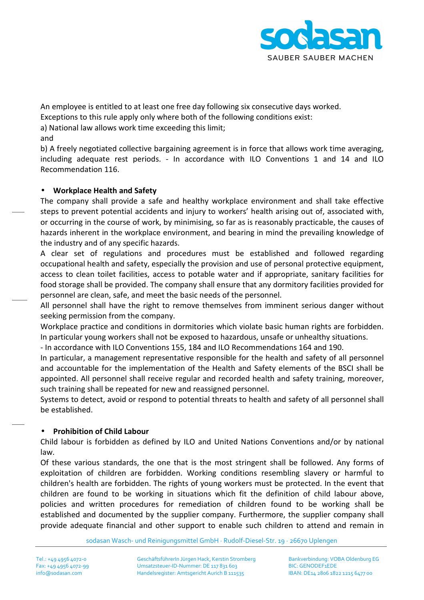

An employee is entitled to at least one free day following six consecutive days worked.

Exceptions to this rule apply only where both of the following conditions exist:

a) National law allows work time exceeding this limit;

and

b) A freely negotiated collective bargaining agreement is in force that allows work time averaging, including adequate rest periods. - In accordance with ILO Conventions 1 and 14 and ILO Recommendation 116.

### • **Workplace Health and Safety**

The company shall provide a safe and healthy workplace environment and shall take effective steps to prevent potential accidents and injury to workers' health arising out of, associated with, or occurring in the course of work, by minimising, so far as is reasonably practicable, the causes of hazards inherent in the workplace environment, and bearing in mind the prevailing knowledge of the industry and of any specific hazards.

A clear set of regulations and procedures must be established and followed regarding occupational health and safety, especially the provision and use of personal protective equipment, access to clean toilet facilities, access to potable water and if appropriate, sanitary facilities for food storage shall be provided. The company shall ensure that any dormitory facilities provided for personnel are clean, safe, and meet the basic needs of the personnel.

All personnel shall have the right to remove themselves from imminent serious danger without seeking permission from the company.

Workplace practice and conditions in dormitories which violate basic human rights are forbidden. In particular young workers shall not be exposed to hazardous, unsafe or unhealthy situations.

- In accordance with ILO Conventions 155, 184 and ILO Recommendations 164 and 190.

In particular, a management representative responsible for the health and safety of all personnel and accountable for the implementation of the Health and Safety elements of the BSCI shall be appointed. All personnel shall receive regular and recorded health and safety training, moreover, such training shall be repeated for new and reassigned personnel.

Systems to detect, avoid or respond to potential threats to health and safety of all personnel shall be established.

## • **Prohibition of Child Labour**

Child labour is forbidden as defined by ILO and United Nations Conventions and/or by national law.

Of these various standards, the one that is the most stringent shall be followed. Any forms of exploitation of children are forbidden. Working conditions resembling slavery or harmful to children's health are forbidden. The rights of young workers must be protected. In the event that children are found to be working in situations which fit the definition of child labour above, policies and written procedures for remediation of children found to be working shall be established and documented by the supplier company. Furthermore, the supplier company shall provide adequate financial and other support to enable such children to attend and remain in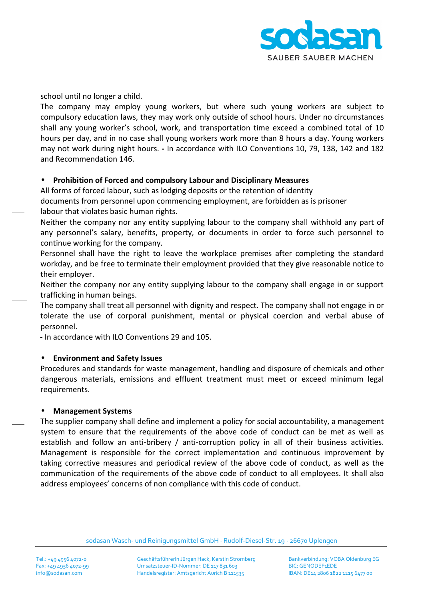

school until no longer a child.

The company may employ young workers, but where such young workers are subject to compulsory education laws, they may work only outside of school hours. Under no circumstances shall any young worker's school, work, and transportation time exceed a combined total of 10 hours per day, and in no case shall young workers work more than 8 hours a day. Young workers may not work during night hours. **-** In accordance with ILO Conventions 10, 79, 138, 142 and 182 and Recommendation 146.

### • **Prohibition of Forced and compulsory Labour and Disciplinary Measures**

All forms of forced labour, such as lodging deposits or the retention of identity

documents from personnel upon commencing employment, are forbidden as is prisoner labour that violates basic human rights.

Neither the company nor any entity supplying labour to the company shall withhold any part of any personnel's salary, benefits, property, or documents in order to force such personnel to continue working for the company.

Personnel shall have the right to leave the workplace premises after completing the standard workday, and be free to terminate their employment provided that they give reasonable notice to their employer.

Neither the company nor any entity supplying labour to the company shall engage in or support trafficking in human beings.

The company shall treat all personnel with dignity and respect. The company shall not engage in or tolerate the use of corporal punishment, mental or physical coercion and verbal abuse of personnel.

**-** In accordance with ILO Conventions 29 and 105.

### • **Environment and Safety Issues**

Procedures and standards for waste management, handling and disposure of chemicals and other dangerous materials, emissions and effluent treatment must meet or exceed minimum legal requirements.

### • **Management Systems**

The supplier company shall define and implement a policy for social accountability, a management system to ensure that the requirements of the above code of conduct can be met as well as establish and follow an anti-bribery / anti-corruption policy in all of their business activities. Management is responsible for the correct implementation and continuous improvement by taking corrective measures and periodical review of the above code of conduct, as well as the communication of the requirements of the above code of conduct to all employees. It shall also address employees' concerns of non compliance with this code of conduct.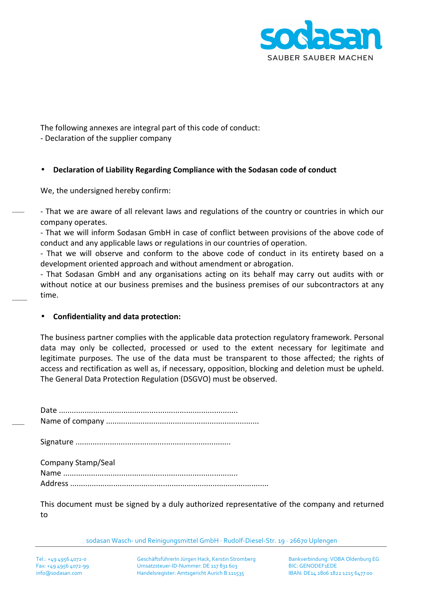

The following annexes are integral part of this code of conduct:

- Declaration of the supplier company

## • **Declaration of Liability Regarding Compliance with the Sodasan code of conduct**

We, the undersigned hereby confirm:

- That we are aware of all relevant laws and regulations of the country or countries in which our company operates.

- That we will inform Sodasan GmbH in case of conflict between provisions of the above code of conduct and any applicable laws or regulations in our countries of operation.

- That we will observe and conform to the above code of conduct in its entirety based on a development oriented approach and without amendment or abrogation.

- That Sodasan GmbH and any organisations acting on its behalf may carry out audits with or without notice at our business premises and the business premises of our subcontractors at any time.

### • **Confidentiality and data protection:**

The business partner complies with the applicable data protection regulatory framework. Personal data may only be collected, processed or used to the extent necessary for legitimate and legitimate purposes. The use of the data must be transparent to those affected; the rights of access and rectification as well as, if necessary, opposition, blocking and deletion must be upheld. The General Data Protection Regulation (DSGVO) must be observed.

| Company Stamp/Seal |
|--------------------|

This document must be signed by a duly authorized representative of the company and returned to

sodasan Wasch- und Reinigungsmittel GmbH · Rudolf-Diesel-Str. 19 · 26670 Uplengen